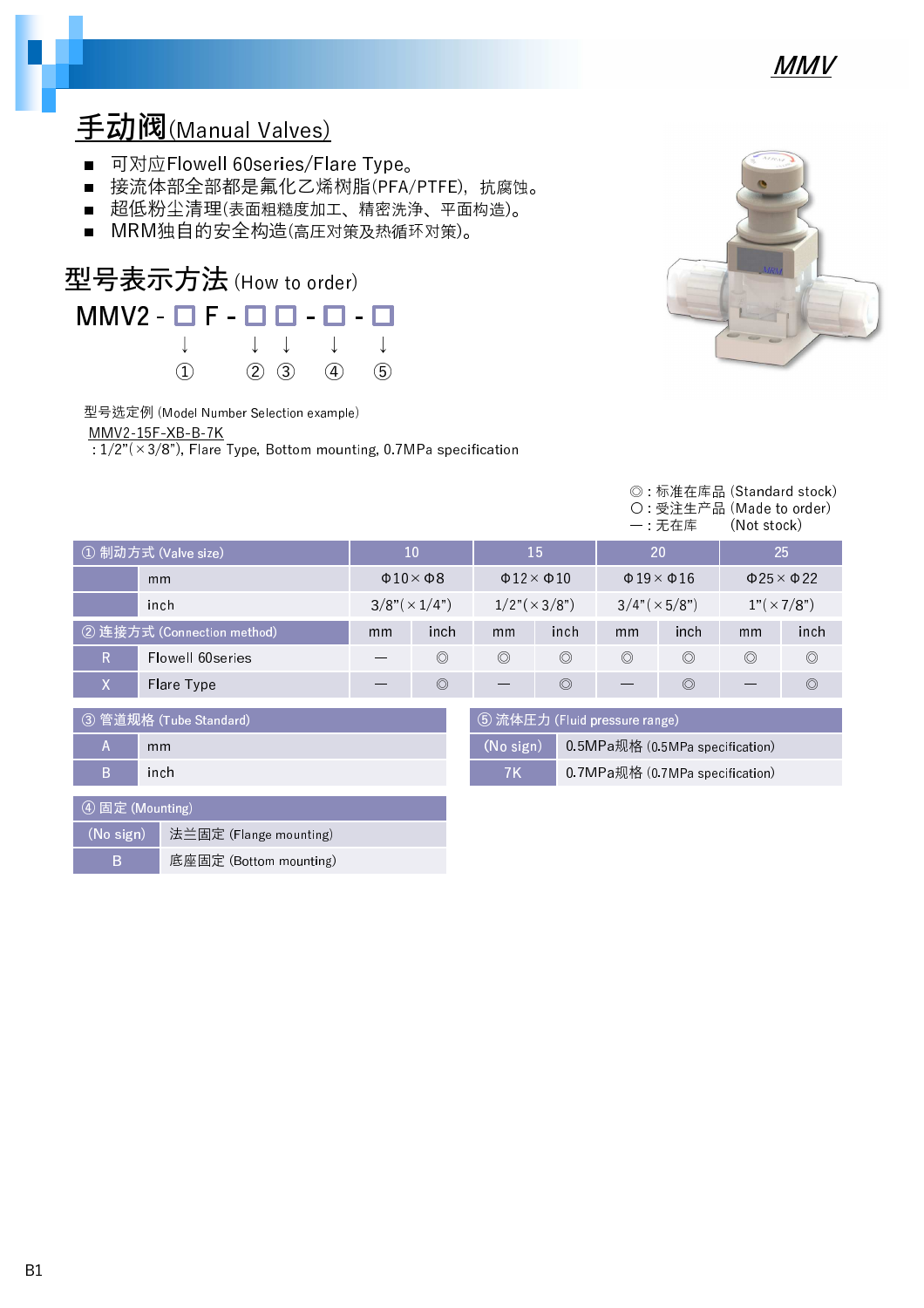

## 手动阀(Manual Valves)

- 可对应Flowell 60series/Flare Type。
- 接流体部全部都是氟化乙烯树脂(PFA/PTFE), 抗腐蚀。
- 超低粉尘清理(表面粗糙度加工、精密洗浄、平面构造)。
- MRM独自的安全构造(高圧对策及热循环对策)。



型号选定例 (Model Number Selection example)

MMV2-15F-XB-B-7K

 $\sqrt{1/2^{\pi}(\times 3/8^{\pi})}$ , Flare Type, Bottom mounting, 0.7MPa specification

| AFRAF<br>ć |  |
|------------|--|
| MRM        |  |
|            |  |

|                                                         |                            |                             |                                              |                                              |                |                              | ©: 标准在库品 (Standard stock)<br>○ 受注生产品 (Made to order)<br>一:无在库 | (Not stock)    |                              |
|---------------------------------------------------------|----------------------------|-----------------------------|----------------------------------------------|----------------------------------------------|----------------|------------------------------|---------------------------------------------------------------|----------------|------------------------------|
|                                                         | ① 制动方式 (Valve size)        | 10                          |                                              | 15                                           |                | 20                           |                                                               |                | 25                           |
|                                                         | mm                         | $\Phi$ 10 $\times$ $\Phi$ 8 |                                              | $\Phi$ 12 $\times$ $\Phi$ 10                 |                | $\Phi$ 19 $\times$ $\Phi$ 16 |                                                               |                | $\Phi$ 25 $\times$ $\Phi$ 22 |
|                                                         | inch                       | $3/8" (\times 1/4")$        |                                              | $1/2"(\times 3/8")$                          |                | $3/4$ " ( $\times$ 5/8")     |                                                               |                | $1"(\times 7/8")$            |
|                                                         | 2 连接方式 (Connection method) | mm                          | inch                                         | mm                                           | inch           | mm                           | <i>inch</i>                                                   | mm             | inch                         |
| R                                                       | Flowell 60series           |                             | $\circledcirc$                               | $\circledcirc$                               | $\circledcirc$ | $\circledcirc$               | $\circledcirc$                                                | $\circledcirc$ | $\circledcirc$               |
| X                                                       | Flare Type                 |                             | $\circledcirc$                               |                                              | $\circledcirc$ |                              | $\circledcirc$                                                |                | $\circledcirc$               |
| 5 流体圧力 (Fluid pressure range)<br>③ 管道规格 (Tube Standard) |                            |                             |                                              |                                              |                |                              |                                                               |                |                              |
| $\mathsf{A}$<br>mm                                      |                            |                             | 0.5MPa规格 (0.5MPa specification)<br>(No sign) |                                              |                |                              |                                                               |                |                              |
| B.<br>inch                                              |                            |                             |                                              | <b>7K</b><br>0.7MPa规格 (0.7MPa specification) |                |                              |                                                               |                |                              |
|                                                         |                            |                             |                                              |                                              |                |                              |                                                               |                |                              |

| 4 固定 (Mounting) |                                                                  |  |  |  |
|-----------------|------------------------------------------------------------------|--|--|--|
|                 | $\left(\mathsf{No} \text{ sign}\right)$   法兰固定 (Flange mounting) |  |  |  |
| R               | 底座固定 (Bottom mounting)                                           |  |  |  |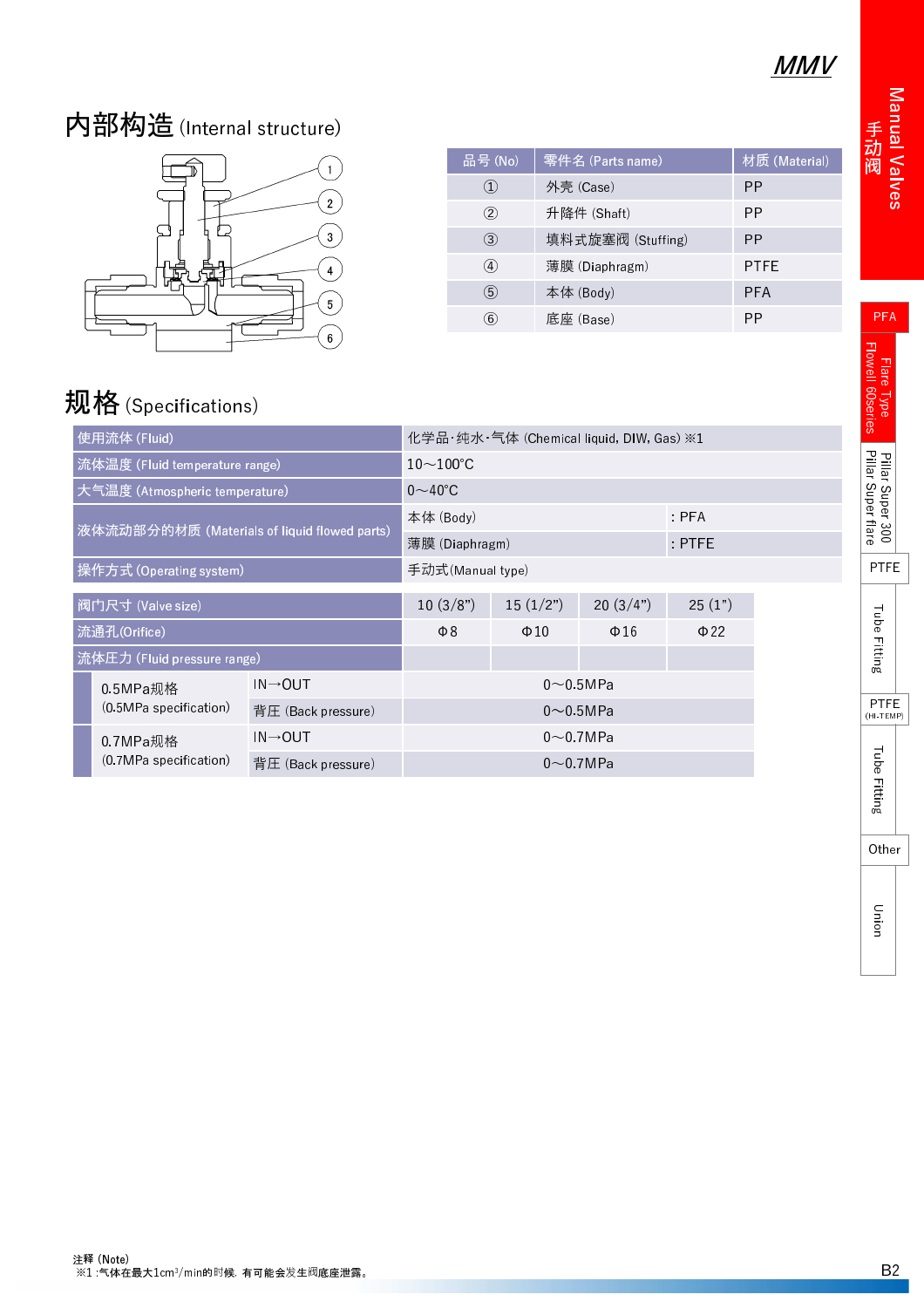## MMV

## 内部构造(Internal structure)



| 品号(No)         | 零件名 (Parts name)  | 材质 (Material) |
|----------------|-------------------|---------------|
| $\circled{1}$  | 外壳 (Case)         | PP            |
| $^{\circledR}$ | 升降件 (Shaft)       | PP            |
| $\circled{3}$  | 填料式旋塞阀 (Stuffing) | PP            |
| ④              | 薄膜 (Diaphragm)    | <b>PTFE</b>   |
| $\circledS$    | 本体 (Body)         | <b>PFA</b>    |
| $\circled6$    | 底座 (Base)         | PP            |
|                |                   |               |
|                |                   |               |
|                |                   |               |
|                |                   |               |

# 规格 (Specifications)

| 使用流体 (Fluid)                                                                     |                                | 化学品・纯水・气体 (Chemical liquid, DIW, Gas) ※1 |                                    |           |           |        |  |
|----------------------------------------------------------------------------------|--------------------------------|------------------------------------------|------------------------------------|-----------|-----------|--------|--|
|                                                                                  | 流体温度 (Fluid temperature range) |                                          | $10\!\sim\!100\textdegree\text{C}$ |           |           |        |  |
|                                                                                  | 大气温度 (Atmospheric temperature) |                                          | $0\sim$ 40°C                       |           |           |        |  |
| 液体流动部分的材质 (Materials of liquid flowed parts)                                     |                                | 本体 (Body)                                | PFA                                |           |           |        |  |
|                                                                                  |                                |                                          | 薄膜 (Diaphragm)                     | PTFE      |           |        |  |
| 操作方式 (Operating system)                                                          |                                |                                          | 手动式(Manual type)                   |           |           |        |  |
| 阀门尺寸 (Valve size)                                                                |                                |                                          | 10(3/8")                           | 15(1/2")  | 20(3/4")  | 25(1") |  |
| 流通孔(Orifice)                                                                     |                                | $\Phi$ 8                                 | $\Phi$ 10                          | $\Phi$ 16 | $\Phi$ 22 |        |  |
| 流体圧力 (Fluid pressure range)                                                      |                                |                                          |                                    |           |           |        |  |
|                                                                                  | 05MPa规格                        | $IN \rightarrow OUT$                     | $0\sim$ 0.5 MPa                    |           |           |        |  |
| (0.5MPa specification)                                                           |                                | 背圧 (Back pressure)                       | $0\sim$ 0.5MPa                     |           |           |        |  |
| $IN \rightarrow OUT$<br>0.7MPa规格<br>(0.7MPa specification)<br>背圧 (Back pressure) |                                | $0\!\sim\!0.7$ MPa                       |                                    |           |           |        |  |
|                                                                                  |                                | $0\!\sim\!0$ 7MPa                        |                                    |           |           |        |  |
|                                                                                  |                                |                                          |                                    |           |           |        |  |
|                                                                                  |                                |                                          |                                    |           |           |        |  |
|                                                                                  |                                |                                          |                                    |           |           |        |  |

PTFE

I ube – ittin

PTFE (HI-TEMP)

I ube – ittin

PFA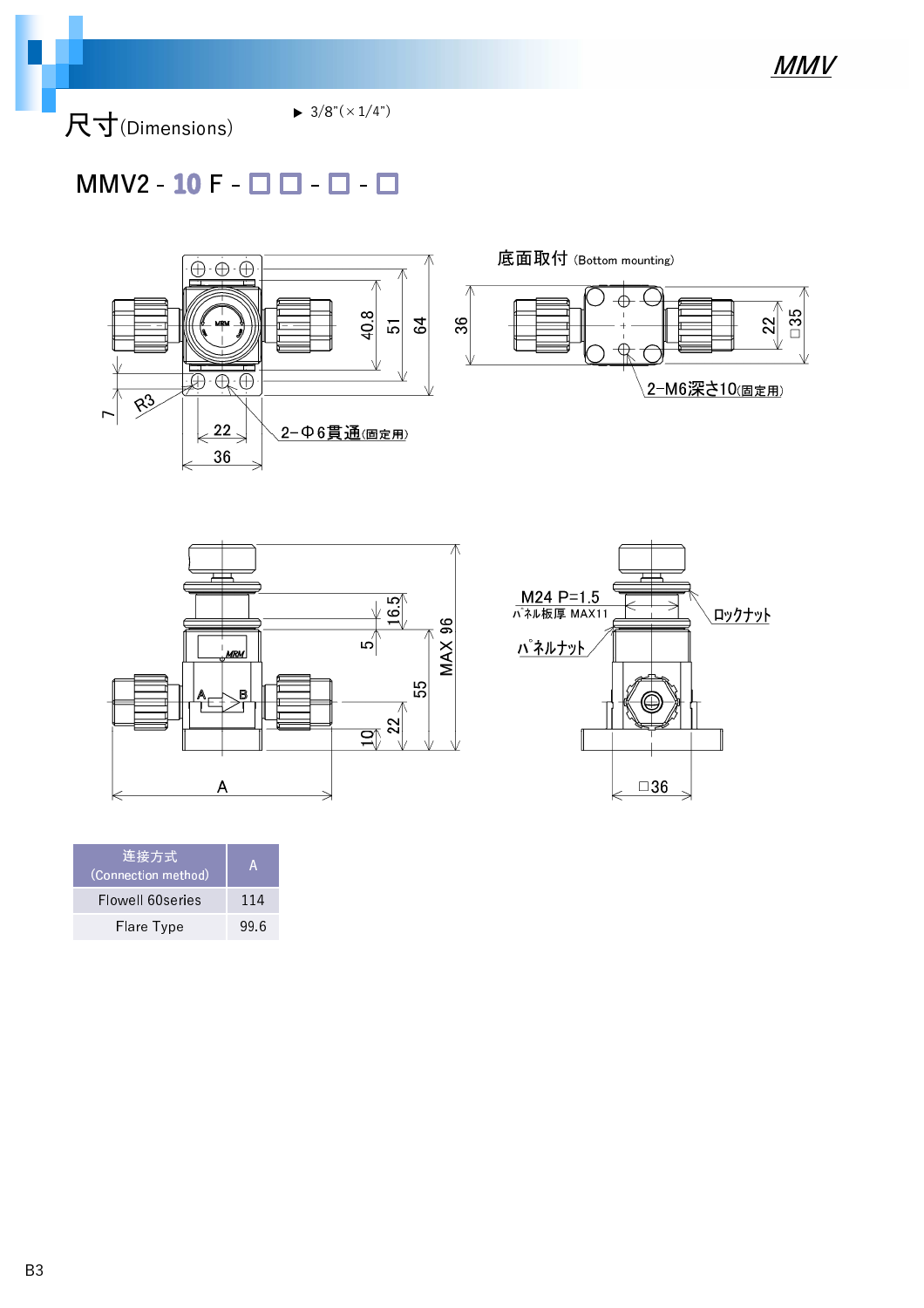尺寸(Dimensions)

 $\blacktriangleright$  3/8"( $\times$ 1/4")

### $MMV2 - 10 F - \Box$   $\Box$  -  $\Box$  -  $\Box$







| 连接方式<br>(Connection method) | А    |
|-----------------------------|------|
| Flowell 60series            | 114  |
| Flare Type                  | 99.6 |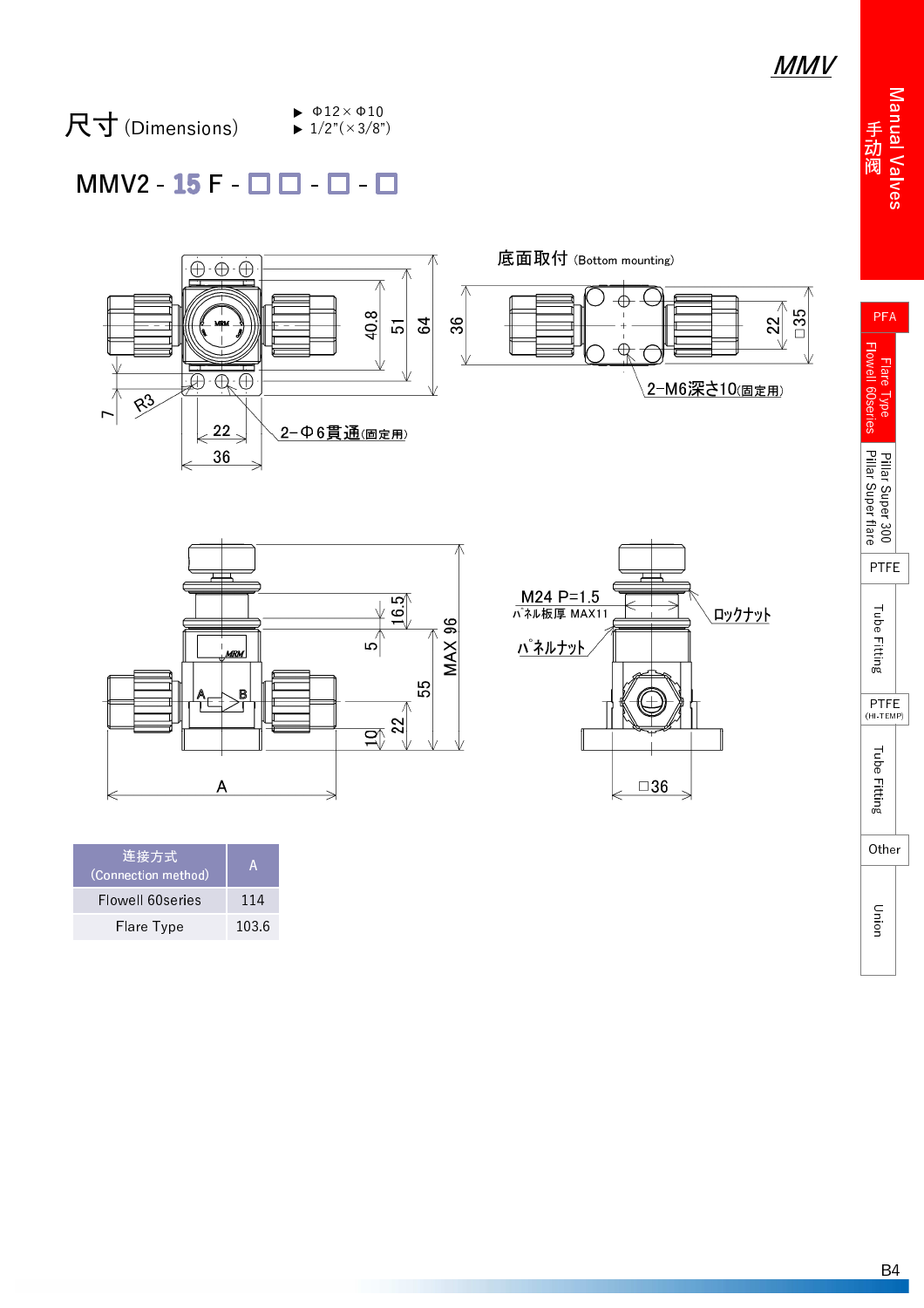Manual Valve 手 阀

PFA

#### 尺寸 (Dimensions)  $\blacktriangleright$   $\Phi$ 12× $\Phi$ 10  $\blacktriangleright$  1/2"( $\times$ 3/8")

#### $MMV2 - 15F - 11 - 1$





| 连接方式<br>(Connection method) | А     |
|-----------------------------|-------|
| Flowell 60series            | 114   |
| Flare Type                  | 103.6 |



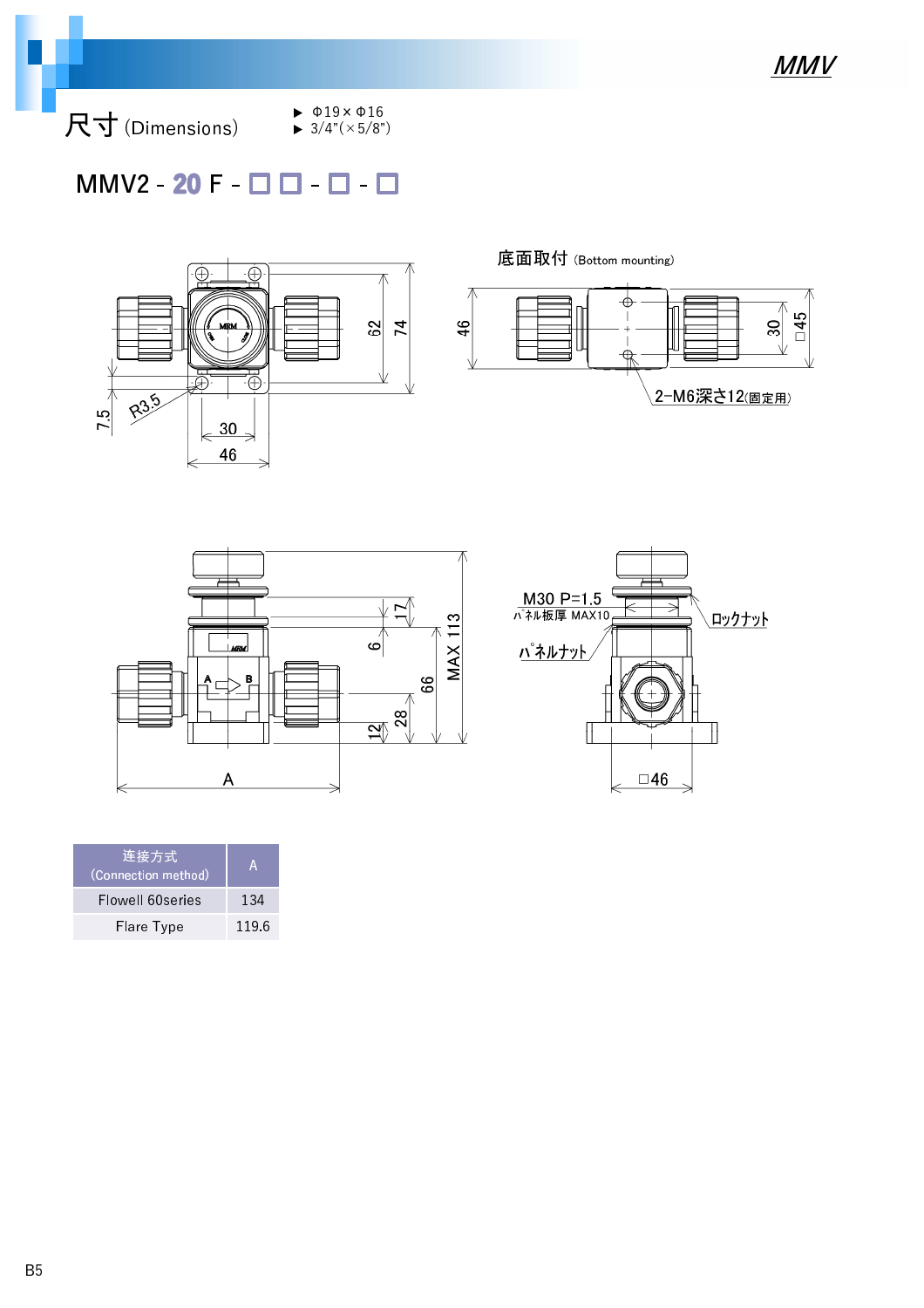尺寸 (Dimensions)

- $\blacktriangleright$   $\Phi$ 19× $\Phi$ 16  $\blacktriangleright$  3/4"( $\times$ 5/8")
- $MMV2 20 F \Box$   $\Box$   $\Box$



底面取付 (Bottom mounting)







| 连接方式<br>(Connection method) | A     |
|-----------------------------|-------|
| Flowell 60series            | 134   |
| Flare Type                  | 119.6 |